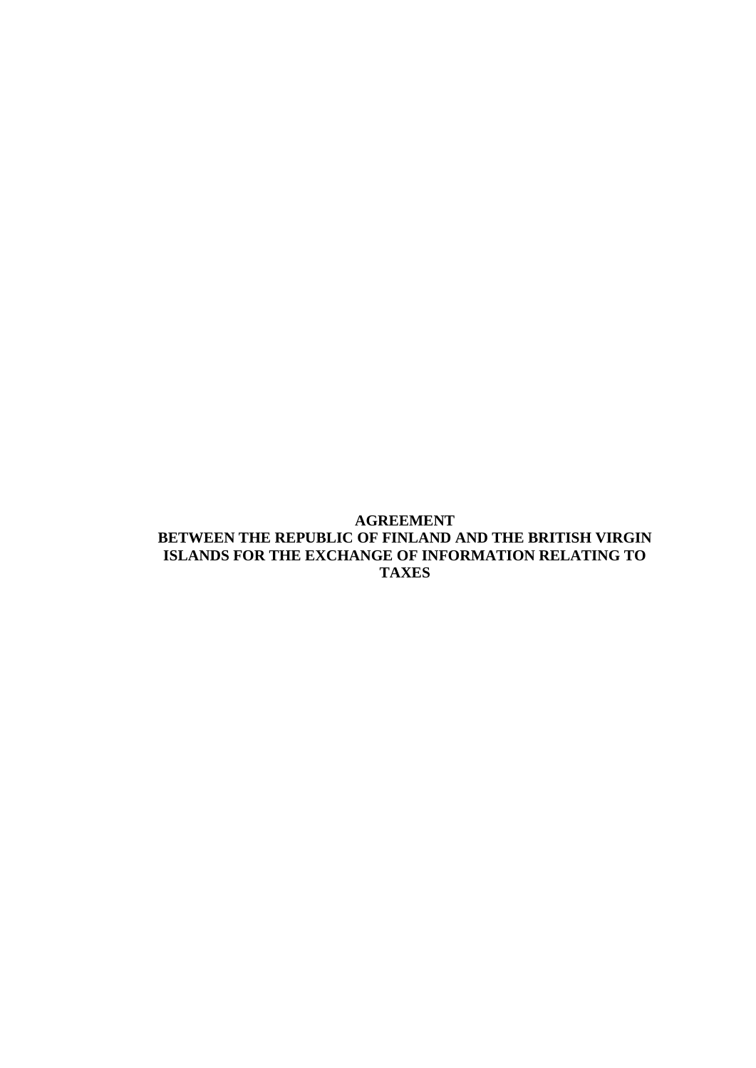# **AGREEMENT BETWEEN THE REPUBLIC OF FINLAND AND THE BRITISH VIRGIN ISLANDS FOR THE EXCHANGE OF INFORMATION RELATING TO TAXES**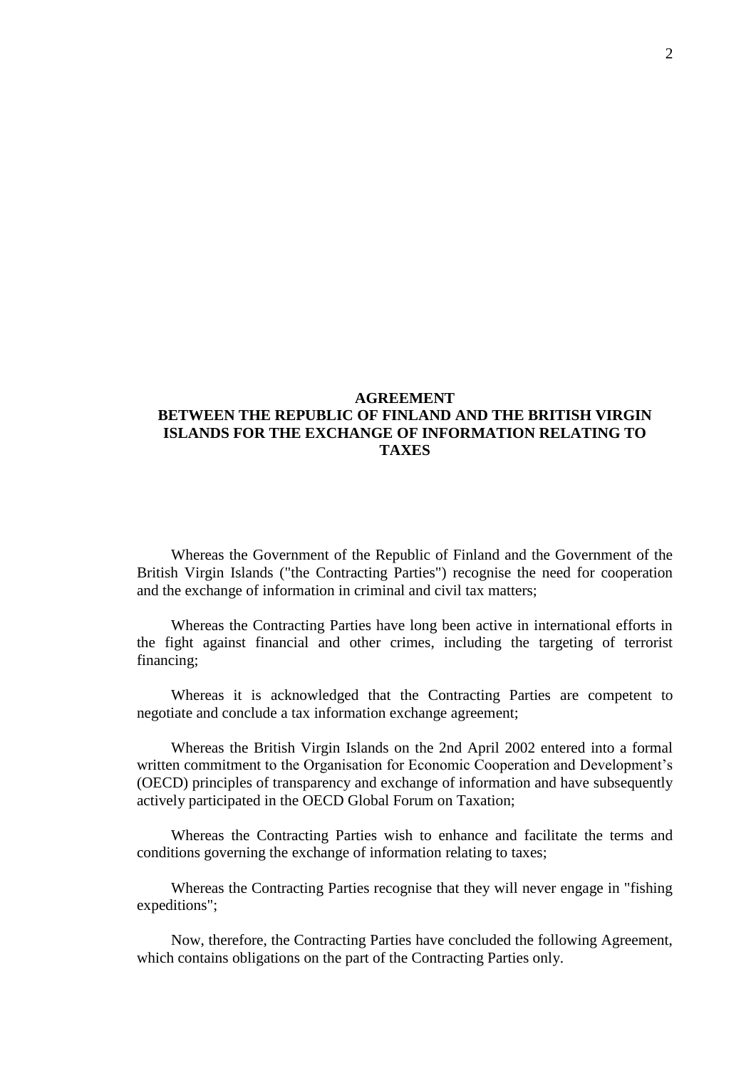# **AGREEMENT BETWEEN THE REPUBLIC OF FINLAND AND THE BRITISH VIRGIN ISLANDS FOR THE EXCHANGE OF INFORMATION RELATING TO TAXES**

Whereas the Government of the Republic of Finland and the Government of the British Virgin Islands ("the Contracting Parties") recognise the need for cooperation and the exchange of information in criminal and civil tax matters;

Whereas the Contracting Parties have long been active in international efforts in the fight against financial and other crimes, including the targeting of terrorist financing;

Whereas it is acknowledged that the Contracting Parties are competent to negotiate and conclude a tax information exchange agreement;

Whereas the British Virgin Islands on the 2nd April 2002 entered into a formal written commitment to the Organisation for Economic Cooperation and Development's (OECD) principles of transparency and exchange of information and have subsequently actively participated in the OECD Global Forum on Taxation;

Whereas the Contracting Parties wish to enhance and facilitate the terms and conditions governing the exchange of information relating to taxes;

Whereas the Contracting Parties recognise that they will never engage in "fishing expeditions";

Now, therefore, the Contracting Parties have concluded the following Agreement, which contains obligations on the part of the Contracting Parties only.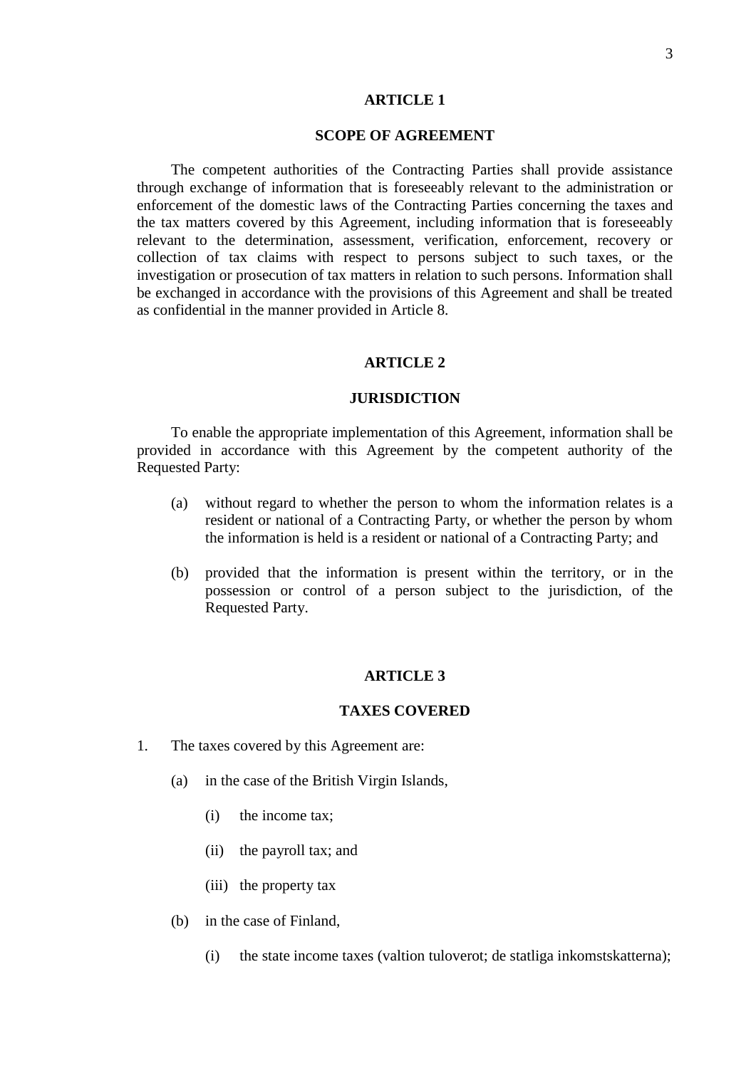### **ARTICLE 1**

#### **SCOPE OF AGREEMENT**

The competent authorities of the Contracting Parties shall provide assistance through exchange of information that is foreseeably relevant to the administration or enforcement of the domestic laws of the Contracting Parties concerning the taxes and the tax matters covered by this Agreement, including information that is foreseeably relevant to the determination, assessment, verification, enforcement, recovery or collection of tax claims with respect to persons subject to such taxes, or the investigation or prosecution of tax matters in relation to such persons. Information shall be exchanged in accordance with the provisions of this Agreement and shall be treated as confidential in the manner provided in Article 8.

### **ARTICLE 2**

## **JURISDICTION**

To enable the appropriate implementation of this Agreement, information shall be provided in accordance with this Agreement by the competent authority of the Requested Party:

- (a) without regard to whether the person to whom the information relates is a resident or national of a Contracting Party, or whether the person by whom the information is held is a resident or national of a Contracting Party; and
- (b) provided that the information is present within the territory, or in the possession or control of a person subject to the jurisdiction, of the Requested Party.

## **ARTICLE 3**

#### **TAXES COVERED**

- 1. The taxes covered by this Agreement are:
	- (a) in the case of the British Virgin Islands,
		- (i) the income tax;
		- (ii) the payroll tax; and
		- (iii) the property tax
	- (b) in the case of Finland,
		- (i) the state income taxes (valtion tuloverot; de statliga inkomstskatterna);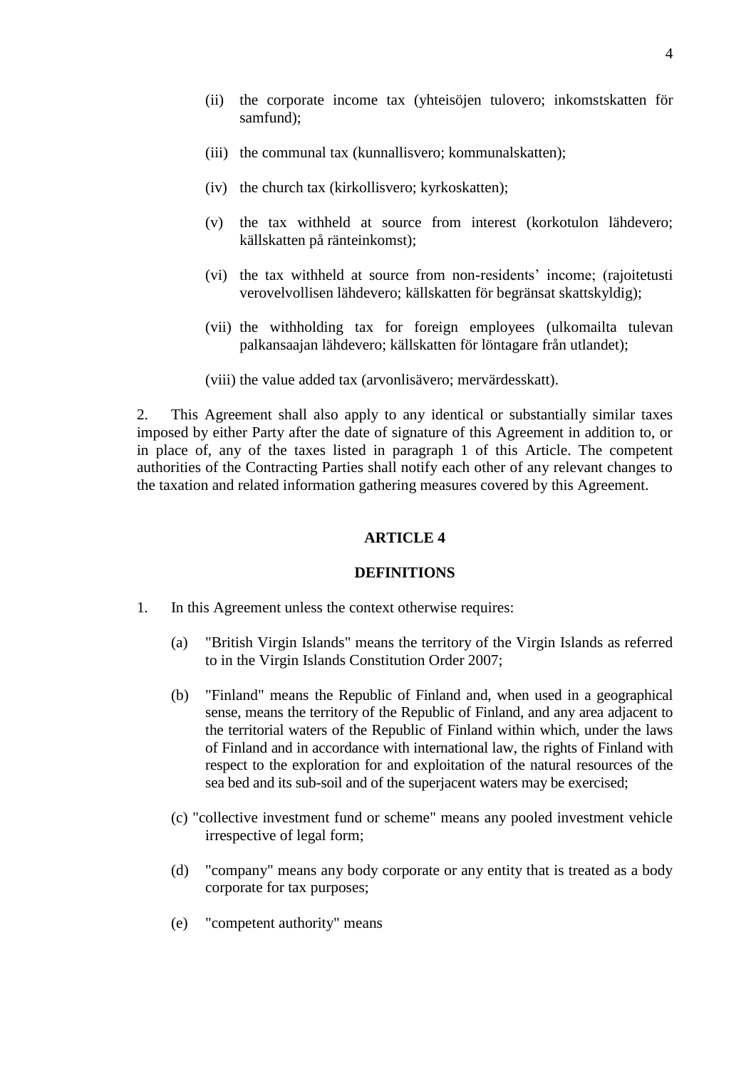- (ii) the corporate income tax (yhteisöjen tulovero; inkomstskatten för samfund);
- (iii) the communal tax (kunnallisvero; kommunalskatten);
- (iv) the church tax (kirkollisvero; kyrkoskatten);
- (v) the tax withheld at source from interest (korkotulon lähdevero; källskatten på ränteinkomst);
- (vi) the tax withheld at source from non-residents' income; (rajoitetusti verovelvollisen lähdevero; källskatten för begränsat skattskyldig);
- (vii) the withholding tax for foreign employees (ulkomailta tulevan palkansaajan lähdevero; källskatten för löntagare från utlandet);
- (viii) the value added tax (arvonlisävero; mervärdesskatt).

2. This Agreement shall also apply to any identical or substantially similar taxes imposed by either Party after the date of signature of this Agreement in addition to, or in place of, any of the taxes listed in paragraph 1 of this Article. The competent authorities of the Contracting Parties shall notify each other of any relevant changes to the taxation and related information gathering measures covered by this Agreement.

### **ARTICLE 4**

#### **DEFINITIONS**

- 1. In this Agreement unless the context otherwise requires:
	- (a) "British Virgin Islands" means the territory of the Virgin Islands as referred to in the Virgin Islands Constitution Order 2007;
	- (b) "Finland" means the Republic of Finland and, when used in a geographical sense, means the territory of the Republic of Finland, and any area adjacent to the territorial waters of the Republic of Finland within which, under the laws of Finland and in accordance with international law, the rights of Finland with respect to the exploration for and exploitation of the natural resources of the sea bed and its sub-soil and of the superjacent waters may be exercised;
	- (c) "collective investment fund or scheme" means any pooled investment vehicle irrespective of legal form;
	- (d) "company" means any body corporate or any entity that is treated as a body corporate for tax purposes;
	- (e) "competent authority" means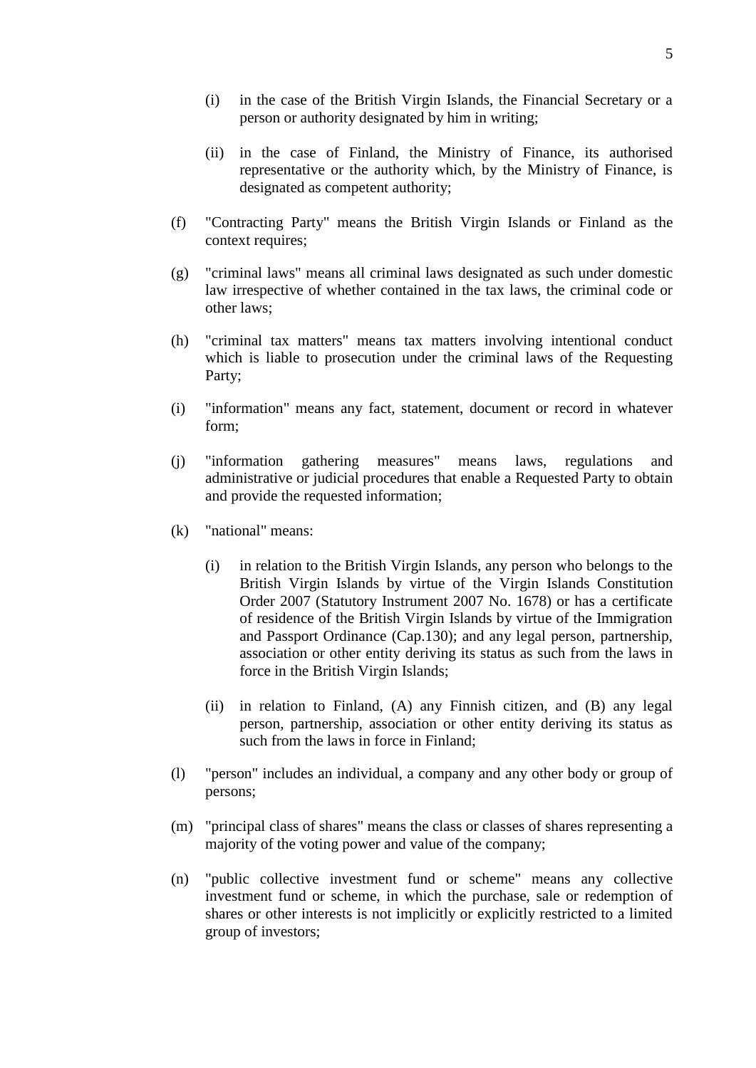- (i) in the case of the British Virgin Islands, the Financial Secretary or a person or authority designated by him in writing;
- (ii) in the case of Finland, the Ministry of Finance, its authorised representative or the authority which, by the Ministry of Finance, is designated as competent authority;
- (f) "Contracting Party" means the British Virgin Islands or Finland as the context requires;
- (g) "criminal laws" means all criminal laws designated as such under domestic law irrespective of whether contained in the tax laws, the criminal code or other laws;
- (h) "criminal tax matters" means tax matters involving intentional conduct which is liable to prosecution under the criminal laws of the Requesting Party;
- (i) "information" means any fact, statement, document or record in whatever form;
- (j) "information gathering measures" means laws, regulations and administrative or judicial procedures that enable a Requested Party to obtain and provide the requested information;
- (k) "national" means:
	- (i) in relation to the British Virgin Islands, any person who belongs to the British Virgin Islands by virtue of the Virgin Islands Constitution Order 2007 (Statutory Instrument 2007 No. 1678) or has a certificate of residence of the British Virgin Islands by virtue of the Immigration and Passport Ordinance (Cap.130); and any legal person, partnership, association or other entity deriving its status as such from the laws in force in the British Virgin Islands;
	- (ii) in relation to Finland, (A) any Finnish citizen, and (B) any legal person, partnership, association or other entity deriving its status as such from the laws in force in Finland;
- (l) "person" includes an individual, a company and any other body or group of persons;
- (m) "principal class of shares" means the class or classes of shares representing a majority of the voting power and value of the company;
- (n) "public collective investment fund or scheme" means any collective investment fund or scheme, in which the purchase, sale or redemption of shares or other interests is not implicitly or explicitly restricted to a limited group of investors;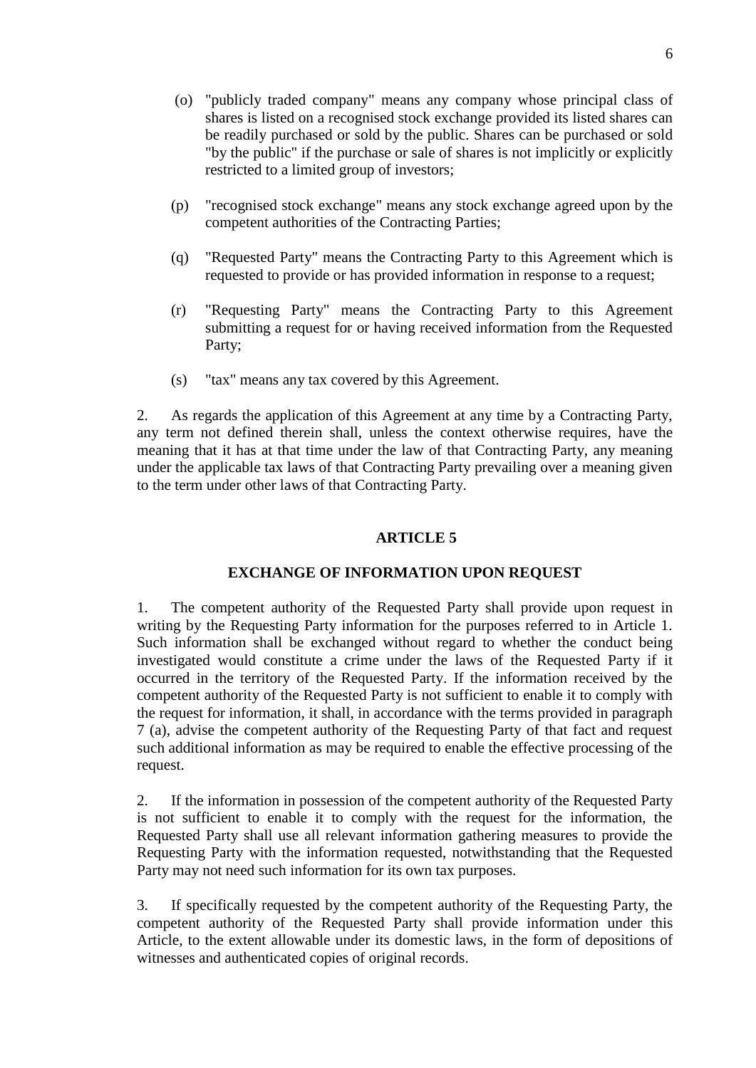- (o) "publicly traded company" means any company whose principal class of shares is listed on a recognised stock exchange provided its listed shares can be readily purchased or sold by the public. Shares can be purchased or sold "by the public" if the purchase or sale of shares is not implicitly or explicitly restricted to a limited group of investors;
- (p) "recognised stock exchange" means any stock exchange agreed upon by the competent authorities of the Contracting Parties;
- (q) "Requested Party" means the Contracting Party to this Agreement which is requested to provide or has provided information in response to a request;
- (r) "Requesting Party" means the Contracting Party to this Agreement submitting a request for or having received information from the Requested Party;
- (s) "tax" means any tax covered by this Agreement.

2. As regards the application of this Agreement at any time by a Contracting Party, any term not defined therein shall, unless the context otherwise requires, have the meaning that it has at that time under the law of that Contracting Party, any meaning under the applicable tax laws of that Contracting Party prevailing over a meaning given to the term under other laws of that Contracting Party.

## **ARTICLE 5**

#### **EXCHANGE OF INFORMATION UPON REQUEST**

1. The competent authority of the Requested Party shall provide upon request in writing by the Requesting Party information for the purposes referred to in Article 1. Such information shall be exchanged without regard to whether the conduct being investigated would constitute a crime under the laws of the Requested Party if it occurred in the territory of the Requested Party. If the information received by the competent authority of the Requested Party is not sufficient to enable it to comply with the request for information, it shall, in accordance with the terms provided in paragraph 7 (a), advise the competent authority of the Requesting Party of that fact and request such additional information as may be required to enable the effective processing of the request.

2. If the information in possession of the competent authority of the Requested Party is not sufficient to enable it to comply with the request for the information, the Requested Party shall use all relevant information gathering measures to provide the Requesting Party with the information requested, notwithstanding that the Requested Party may not need such information for its own tax purposes.

3. If specifically requested by the competent authority of the Requesting Party, the competent authority of the Requested Party shall provide information under this Article, to the extent allowable under its domestic laws, in the form of depositions of witnesses and authenticated copies of original records.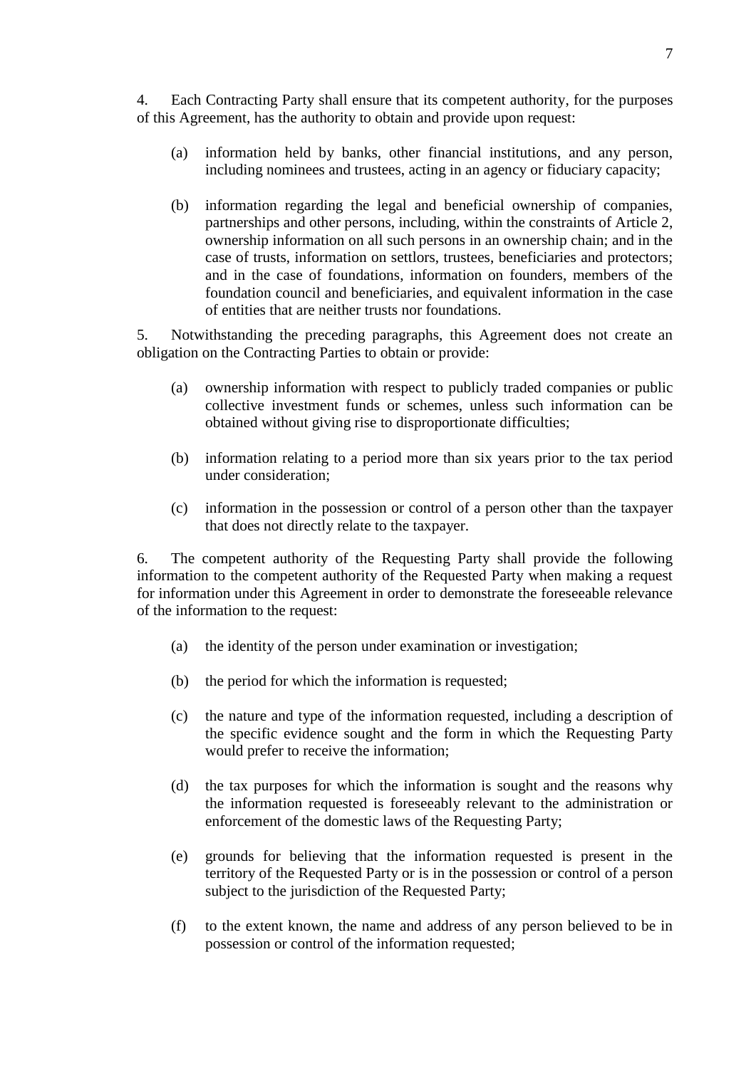4. Each Contracting Party shall ensure that its competent authority, for the purposes of this Agreement, has the authority to obtain and provide upon request:

- (a) information held by banks, other financial institutions, and any person, including nominees and trustees, acting in an agency or fiduciary capacity;
- (b) information regarding the legal and beneficial ownership of companies, partnerships and other persons, including, within the constraints of Article 2, ownership information on all such persons in an ownership chain; and in the case of trusts, information on settlors, trustees, beneficiaries and protectors; and in the case of foundations, information on founders, members of the foundation council and beneficiaries, and equivalent information in the case of entities that are neither trusts nor foundations.

5. Notwithstanding the preceding paragraphs, this Agreement does not create an obligation on the Contracting Parties to obtain or provide:

- (a) ownership information with respect to publicly traded companies or public collective investment funds or schemes, unless such information can be obtained without giving rise to disproportionate difficulties;
- (b) information relating to a period more than six years prior to the tax period under consideration;
- (c) information in the possession or control of a person other than the taxpayer that does not directly relate to the taxpayer.

6. The competent authority of the Requesting Party shall provide the following information to the competent authority of the Requested Party when making a request for information under this Agreement in order to demonstrate the foreseeable relevance of the information to the request:

- (a) the identity of the person under examination or investigation;
- (b) the period for which the information is requested;
- (c) the nature and type of the information requested, including a description of the specific evidence sought and the form in which the Requesting Party would prefer to receive the information;
- (d) the tax purposes for which the information is sought and the reasons why the information requested is foreseeably relevant to the administration or enforcement of the domestic laws of the Requesting Party;
- (e) grounds for believing that the information requested is present in the territory of the Requested Party or is in the possession or control of a person subject to the jurisdiction of the Requested Party;
- (f) to the extent known, the name and address of any person believed to be in possession or control of the information requested;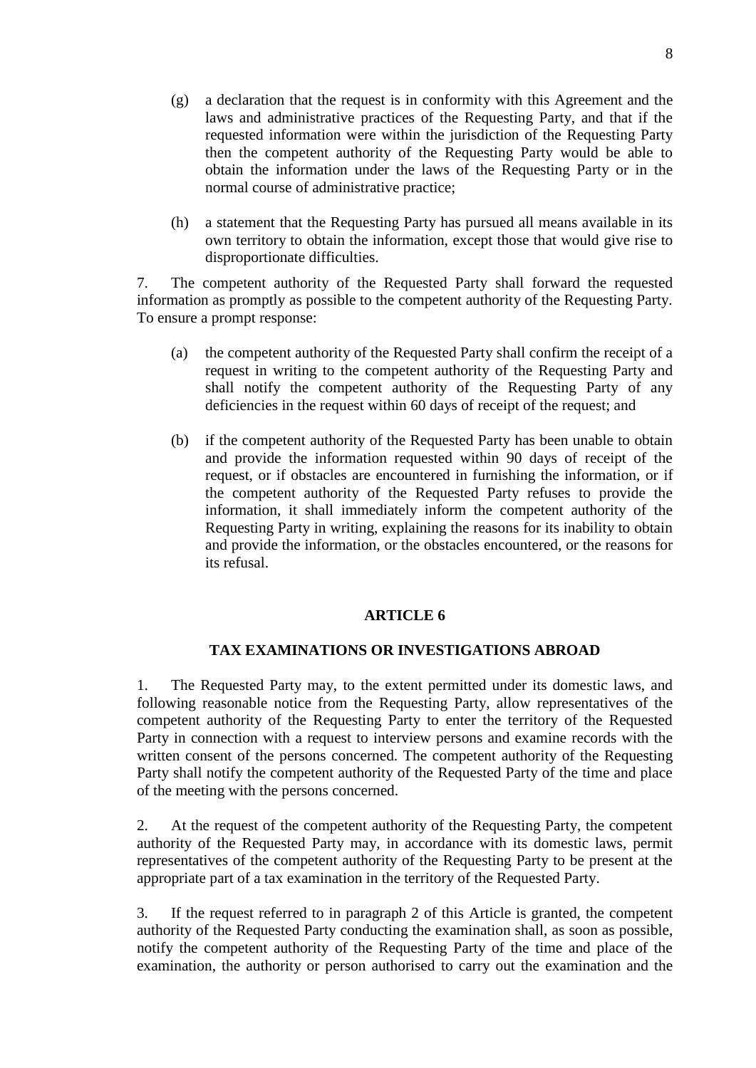- (g) a declaration that the request is in conformity with this Agreement and the laws and administrative practices of the Requesting Party, and that if the requested information were within the jurisdiction of the Requesting Party then the competent authority of the Requesting Party would be able to obtain the information under the laws of the Requesting Party or in the normal course of administrative practice;
- (h) a statement that the Requesting Party has pursued all means available in its own territory to obtain the information, except those that would give rise to disproportionate difficulties.

7. The competent authority of the Requested Party shall forward the requested information as promptly as possible to the competent authority of the Requesting Party. To ensure a prompt response:

- (a) the competent authority of the Requested Party shall confirm the receipt of a request in writing to the competent authority of the Requesting Party and shall notify the competent authority of the Requesting Party of any deficiencies in the request within 60 days of receipt of the request; and
- (b) if the competent authority of the Requested Party has been unable to obtain and provide the information requested within 90 days of receipt of the request, or if obstacles are encountered in furnishing the information, or if the competent authority of the Requested Party refuses to provide the information, it shall immediately inform the competent authority of the Requesting Party in writing, explaining the reasons for its inability to obtain and provide the information, or the obstacles encountered, or the reasons for its refusal.

# **ARTICLE 6**

# **TAX EXAMINATIONS OR INVESTIGATIONS ABROAD**

1. The Requested Party may, to the extent permitted under its domestic laws, and following reasonable notice from the Requesting Party, allow representatives of the competent authority of the Requesting Party to enter the territory of the Requested Party in connection with a request to interview persons and examine records with the written consent of the persons concerned. The competent authority of the Requesting Party shall notify the competent authority of the Requested Party of the time and place of the meeting with the persons concerned.

2. At the request of the competent authority of the Requesting Party, the competent authority of the Requested Party may, in accordance with its domestic laws, permit representatives of the competent authority of the Requesting Party to be present at the appropriate part of a tax examination in the territory of the Requested Party.

3. If the request referred to in paragraph 2 of this Article is granted, the competent authority of the Requested Party conducting the examination shall, as soon as possible, notify the competent authority of the Requesting Party of the time and place of the examination, the authority or person authorised to carry out the examination and the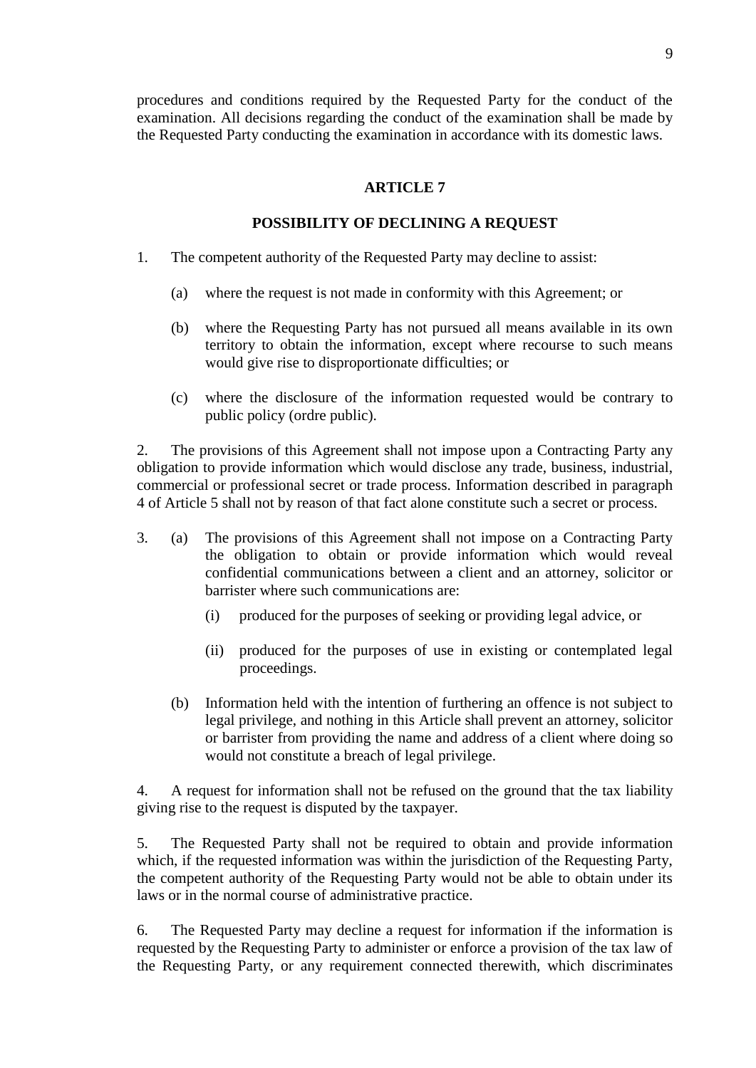9

procedures and conditions required by the Requested Party for the conduct of the examination. All decisions regarding the conduct of the examination shall be made by the Requested Party conducting the examination in accordance with its domestic laws.

# **ARTICLE 7**

# **POSSIBILITY OF DECLINING A REQUEST**

- 1. The competent authority of the Requested Party may decline to assist:
	- (a) where the request is not made in conformity with this Agreement; or
	- (b) where the Requesting Party has not pursued all means available in its own territory to obtain the information, except where recourse to such means would give rise to disproportionate difficulties; or
	- (c) where the disclosure of the information requested would be contrary to public policy (ordre public).

2. The provisions of this Agreement shall not impose upon a Contracting Party any obligation to provide information which would disclose any trade, business, industrial, commercial or professional secret or trade process. Information described in paragraph 4 of Article 5 shall not by reason of that fact alone constitute such a secret or process.

- 3. (a) The provisions of this Agreement shall not impose on a Contracting Party the obligation to obtain or provide information which would reveal confidential communications between a client and an attorney, solicitor or barrister where such communications are:
	- (i) produced for the purposes of seeking or providing legal advice, or
	- (ii) produced for the purposes of use in existing or contemplated legal proceedings.
	- (b) Information held with the intention of furthering an offence is not subject to legal privilege, and nothing in this Article shall prevent an attorney, solicitor or barrister from providing the name and address of a client where doing so would not constitute a breach of legal privilege.

4. A request for information shall not be refused on the ground that the tax liability giving rise to the request is disputed by the taxpayer.

5. The Requested Party shall not be required to obtain and provide information which, if the requested information was within the jurisdiction of the Requesting Party, the competent authority of the Requesting Party would not be able to obtain under its laws or in the normal course of administrative practice.

6. The Requested Party may decline a request for information if the information is requested by the Requesting Party to administer or enforce a provision of the tax law of the Requesting Party, or any requirement connected therewith, which discriminates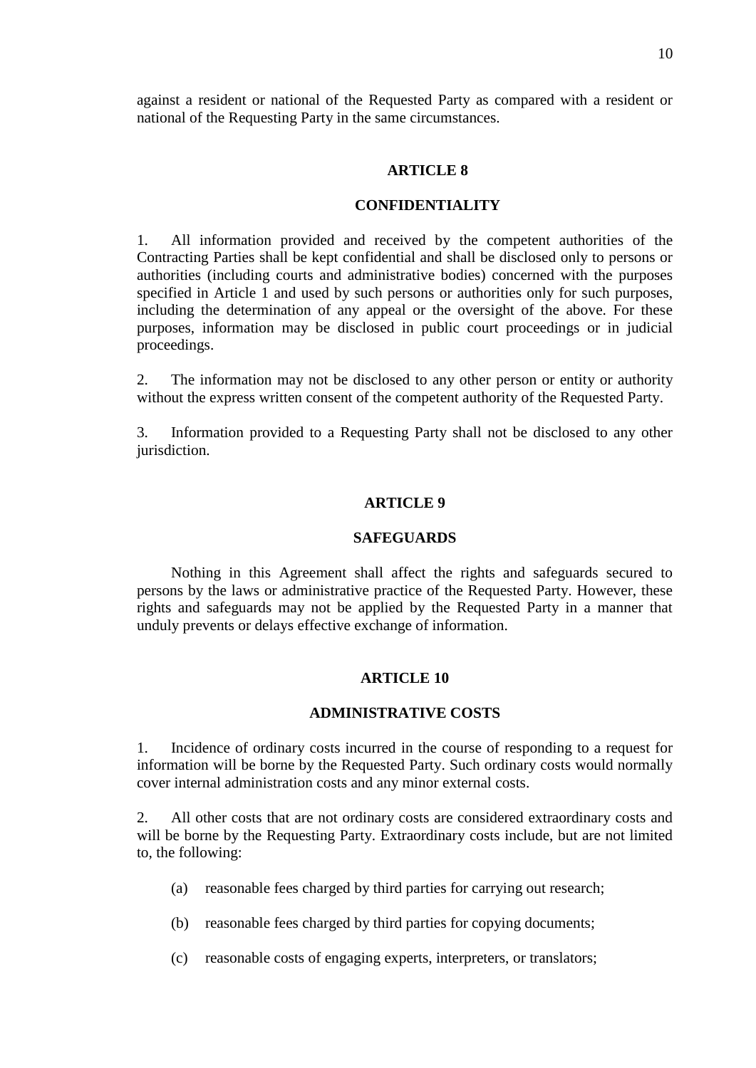against a resident or national of the Requested Party as compared with a resident or national of the Requesting Party in the same circumstances.

#### **ARTICLE 8**

## **CONFIDENTIALITY**

1. All information provided and received by the competent authorities of the Contracting Parties shall be kept confidential and shall be disclosed only to persons or authorities (including courts and administrative bodies) concerned with the purposes specified in Article 1 and used by such persons or authorities only for such purposes, including the determination of any appeal or the oversight of the above. For these purposes, information may be disclosed in public court proceedings or in judicial proceedings.

2. The information may not be disclosed to any other person or entity or authority without the express written consent of the competent authority of the Requested Party.

3. Information provided to a Requesting Party shall not be disclosed to any other jurisdiction.

#### **ARTICLE 9**

#### **SAFEGUARDS**

Nothing in this Agreement shall affect the rights and safeguards secured to persons by the laws or administrative practice of the Requested Party. However, these rights and safeguards may not be applied by the Requested Party in a manner that unduly prevents or delays effective exchange of information.

## **ARTICLE 10**

#### **ADMINISTRATIVE COSTS**

1. Incidence of ordinary costs incurred in the course of responding to a request for information will be borne by the Requested Party. Such ordinary costs would normally cover internal administration costs and any minor external costs.

2. All other costs that are not ordinary costs are considered extraordinary costs and will be borne by the Requesting Party. Extraordinary costs include, but are not limited to, the following:

- (a) reasonable fees charged by third parties for carrying out research;
- (b) reasonable fees charged by third parties for copying documents;
- (c) reasonable costs of engaging experts, interpreters, or translators;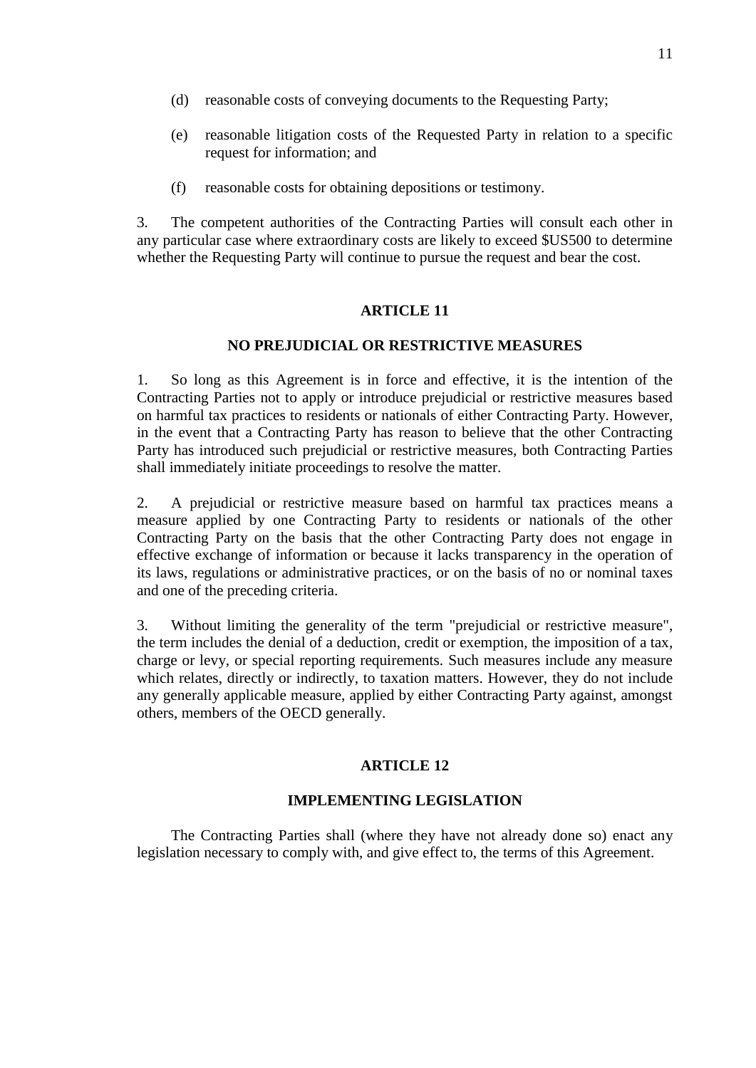- (d) reasonable costs of conveying documents to the Requesting Party;
- (e) reasonable litigation costs of the Requested Party in relation to a specific request for information; and
- (f) reasonable costs for obtaining depositions or testimony.

3. The competent authorities of the Contracting Parties will consult each other in any particular case where extraordinary costs are likely to exceed \$US500 to determine whether the Requesting Party will continue to pursue the request and bear the cost.

## **ARTICLE 11**

# **NO PREJUDICIAL OR RESTRICTIVE MEASURES**

1. So long as this Agreement is in force and effective, it is the intention of the Contracting Parties not to apply or introduce prejudicial or restrictive measures based on harmful tax practices to residents or nationals of either Contracting Party. However, in the event that a Contracting Party has reason to believe that the other Contracting Party has introduced such prejudicial or restrictive measures, both Contracting Parties shall immediately initiate proceedings to resolve the matter.

2. A prejudicial or restrictive measure based on harmful tax practices means a measure applied by one Contracting Party to residents or nationals of the other Contracting Party on the basis that the other Contracting Party does not engage in effective exchange of information or because it lacks transparency in the operation of its laws, regulations or administrative practices, or on the basis of no or nominal taxes and one of the preceding criteria.

3. Without limiting the generality of the term "prejudicial or restrictive measure", the term includes the denial of a deduction, credit or exemption, the imposition of a tax, charge or levy, or special reporting requirements. Such measures include any measure which relates, directly or indirectly, to taxation matters. However, they do not include any generally applicable measure, applied by either Contracting Party against, amongst others, members of the OECD generally.

## **ARTICLE 12**

# **IMPLEMENTING LEGISLATION**

The Contracting Parties shall (where they have not already done so) enact any legislation necessary to comply with, and give effect to, the terms of this Agreement.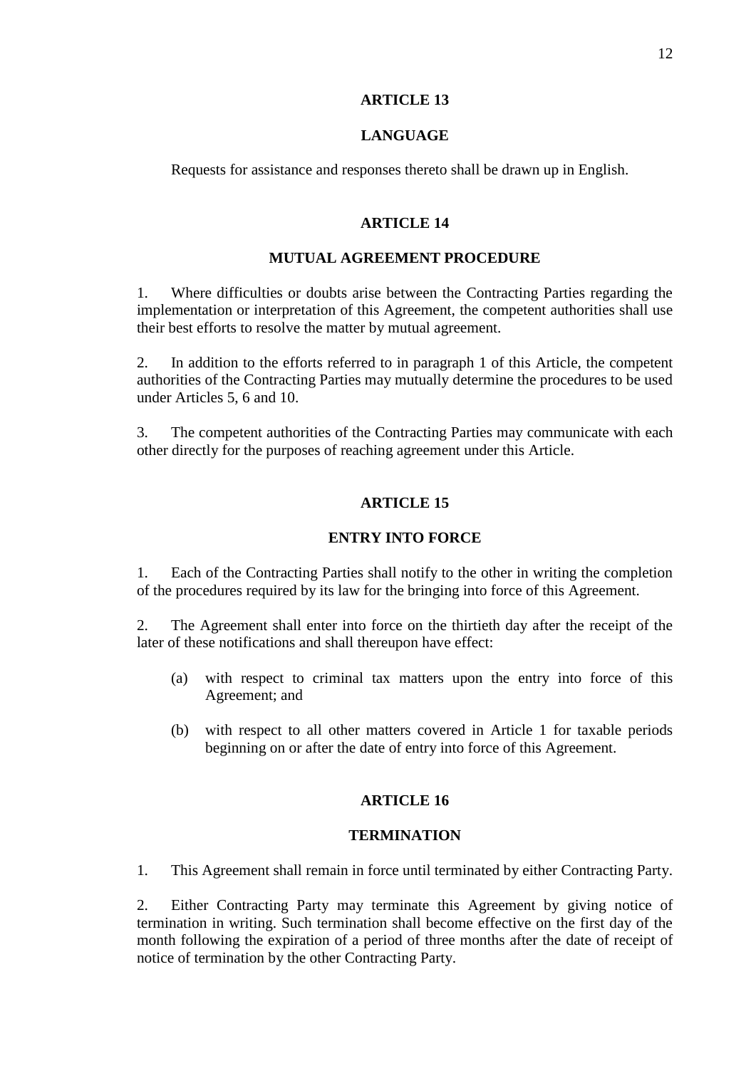## **ARTICLE 13**

## **LANGUAGE**

Requests for assistance and responses thereto shall be drawn up in English.

# **ARTICLE 14**

# **MUTUAL AGREEMENT PROCEDURE**

1. Where difficulties or doubts arise between the Contracting Parties regarding the implementation or interpretation of this Agreement, the competent authorities shall use their best efforts to resolve the matter by mutual agreement.

2. In addition to the efforts referred to in paragraph 1 of this Article, the competent authorities of the Contracting Parties may mutually determine the procedures to be used under Articles 5, 6 and 10.

3. The competent authorities of the Contracting Parties may communicate with each other directly for the purposes of reaching agreement under this Article.

# **ARTICLE 15**

# **ENTRY INTO FORCE**

1. Each of the Contracting Parties shall notify to the other in writing the completion of the procedures required by its law for the bringing into force of this Agreement.

2. The Agreement shall enter into force on the thirtieth day after the receipt of the later of these notifications and shall thereupon have effect:

- (a) with respect to criminal tax matters upon the entry into force of this Agreement; and
- (b) with respect to all other matters covered in Article 1 for taxable periods beginning on or after the date of entry into force of this Agreement.

# **ARTICLE 16**

## **TERMINATION**

1. This Agreement shall remain in force until terminated by either Contracting Party.

2. Either Contracting Party may terminate this Agreement by giving notice of termination in writing. Such termination shall become effective on the first day of the month following the expiration of a period of three months after the date of receipt of notice of termination by the other Contracting Party.